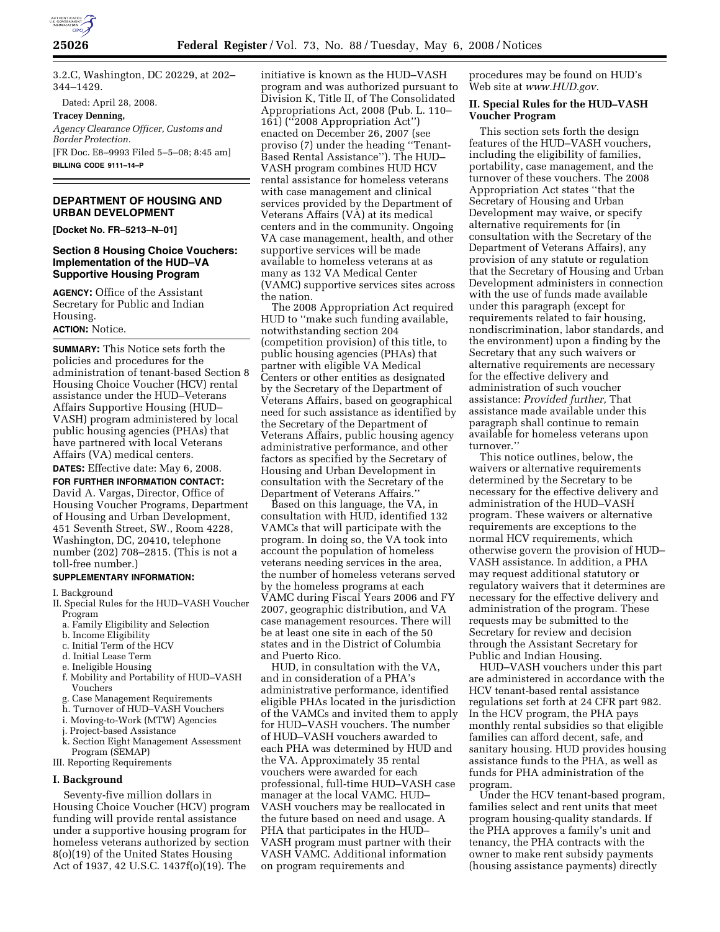

3.2.C, Washington, DC 20229, at 202– 344–1429.

Dated: April 28, 2008.

**Tracey Denning,** 

*Agency Clearance Officer, Customs and Border Protection.*  [FR Doc. E8–9993 Filed 5–5–08; 8:45 am] **BILLING CODE 9111–14–P** 

## **DEPARTMENT OF HOUSING AND URBAN DEVELOPMENT**

**[Docket No. FR–5213–N–01]** 

### **Section 8 Housing Choice Vouchers: Implementation of the HUD–VA Supportive Housing Program**

**AGENCY:** Office of the Assistant Secretary for Public and Indian Housing.

# **ACTION:** Notice.

**SUMMARY:** This Notice sets forth the policies and procedures for the administration of tenant-based Section 8 Housing Choice Voucher (HCV) rental assistance under the HUD–Veterans Affairs Supportive Housing (HUD– VASH) program administered by local public housing agencies (PHAs) that have partnered with local Veterans Affairs (VA) medical centers.

**DATES:** Effective date: May 6, 2008.

**FOR FURTHER INFORMATION CONTACT:**  David A. Vargas, Director, Office of Housing Voucher Programs, Department of Housing and Urban Development, 451 Seventh Street, SW., Room 4228, Washington, DC, 20410, telephone number (202) 708–2815. (This is not a toll-free number.)

#### **SUPPLEMENTARY INFORMATION:**

I. Background

- II. Special Rules for the HUD–VASH Voucher Program
	- a. Family Eligibility and Selection
	- b. Income Eligibility
	- c. Initial Term of the HCV
	- d. Initial Lease Term
	- e. Ineligible Housing
	- f. Mobility and Portability of HUD–VASH Vouchers
	- g. Case Management Requirements
	- h. Turnover of HUD–VASH Vouchers
	- i. Moving-to-Work (MTW) Agencies
	- j. Project-based Assistance
	- k. Section Eight Management Assessment Program (SEMAP)
- III. Reporting Requirements

#### **I. Background**

Seventy-five million dollars in Housing Choice Voucher (HCV) program funding will provide rental assistance under a supportive housing program for homeless veterans authorized by section 8(o)(19) of the United States Housing Act of 1937, 42 U.S.C. 1437f(o)(19). The

initiative is known as the HUD–VASH program and was authorized pursuant to Division K, Title II, of The Consolidated Appropriations Act, 2008 (Pub. L. 110– 161) (''2008 Appropriation Act'') enacted on December 26, 2007 (see proviso (7) under the heading ''Tenant-Based Rental Assistance''). The HUD– VASH program combines HUD HCV rental assistance for homeless veterans with case management and clinical services provided by the Department of Veterans Affairs (VA) at its medical centers and in the community. Ongoing VA case management, health, and other supportive services will be made available to homeless veterans at as many as 132 VA Medical Center (VAMC) supportive services sites across the nation.

The 2008 Appropriation Act required HUD to ''make such funding available, notwithstanding section 204 (competition provision) of this title, to public housing agencies (PHAs) that partner with eligible VA Medical Centers or other entities as designated by the Secretary of the Department of Veterans Affairs, based on geographical need for such assistance as identified by the Secretary of the Department of Veterans Affairs, public housing agency administrative performance, and other factors as specified by the Secretary of Housing and Urban Development in consultation with the Secretary of the Department of Veterans Affairs.''

Based on this language, the VA, in consultation with HUD, identified 132 VAMCs that will participate with the program. In doing so, the VA took into account the population of homeless veterans needing services in the area, the number of homeless veterans served by the homeless programs at each VAMC during Fiscal Years 2006 and FY 2007, geographic distribution, and VA case management resources. There will be at least one site in each of the 50 states and in the District of Columbia and Puerto Rico.

HUD, in consultation with the VA, and in consideration of a PHA's administrative performance, identified eligible PHAs located in the jurisdiction of the VAMCs and invited them to apply for HUD–VASH vouchers. The number of HUD–VASH vouchers awarded to each PHA was determined by HUD and the VA. Approximately 35 rental vouchers were awarded for each professional, full-time HUD–VASH case manager at the local VAMC. HUD– VASH vouchers may be reallocated in the future based on need and usage. A PHA that participates in the HUD– VASH program must partner with their VASH VAMC. Additional information on program requirements and

procedures may be found on HUD's Web site at *www.HUD.gov.* 

#### **II. Special Rules for the HUD–VASH Voucher Program**

This section sets forth the design features of the HUD–VASH vouchers, including the eligibility of families, portability, case management, and the turnover of these vouchers. The 2008 Appropriation Act states ''that the Secretary of Housing and Urban Development may waive, or specify alternative requirements for (in consultation with the Secretary of the Department of Veterans Affairs), any provision of any statute or regulation that the Secretary of Housing and Urban Development administers in connection with the use of funds made available under this paragraph (except for requirements related to fair housing, nondiscrimination, labor standards, and the environment) upon a finding by the Secretary that any such waivers or alternative requirements are necessary for the effective delivery and administration of such voucher assistance: *Provided further,* That assistance made available under this paragraph shall continue to remain available for homeless veterans upon turnover.''

This notice outlines, below, the waivers or alternative requirements determined by the Secretary to be necessary for the effective delivery and administration of the HUD–VASH program. These waivers or alternative requirements are exceptions to the normal HCV requirements, which otherwise govern the provision of HUD– VASH assistance. In addition, a PHA may request additional statutory or regulatory waivers that it determines are necessary for the effective delivery and administration of the program. These requests may be submitted to the Secretary for review and decision through the Assistant Secretary for Public and Indian Housing.

HUD–VASH vouchers under this part are administered in accordance with the HCV tenant-based rental assistance regulations set forth at 24 CFR part 982. In the HCV program, the PHA pays monthly rental subsidies so that eligible families can afford decent, safe, and sanitary housing. HUD provides housing assistance funds to the PHA, as well as funds for PHA administration of the program.

Under the HCV tenant-based program, families select and rent units that meet program housing-quality standards. If the PHA approves a family's unit and tenancy, the PHA contracts with the owner to make rent subsidy payments (housing assistance payments) directly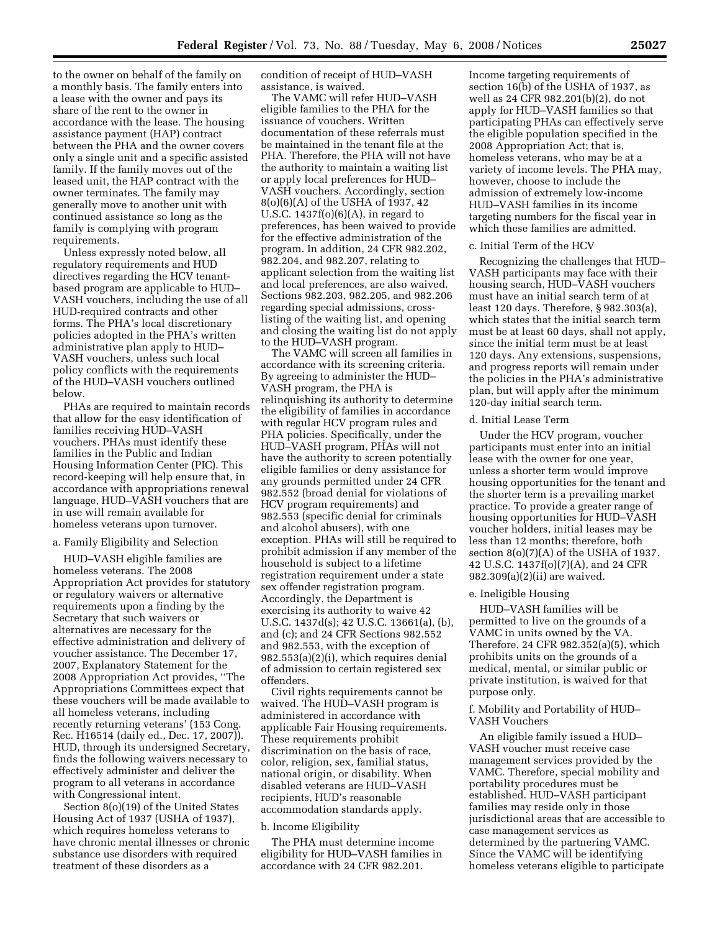to the owner on behalf of the family on a monthly basis. The family enters into a lease with the owner and pays its share of the rent to the owner in accordance with the lease. The housing assistance payment (HAP) contract between the PHA and the owner covers only a single unit and a specific assisted family. If the family moves out of the leased unit, the HAP contract with the owner terminates. The family may generally move to another unit with continued assistance so long as the family is complying with program requirements.

Unless expressly noted below, all regulatory requirements and HUD directives regarding the HCV tenantbased program are applicable to HUD– VASH vouchers, including the use of all HUD-required contracts and other forms. The PHA's local discretionary policies adopted in the PHA's written administrative plan apply to HUD– VASH vouchers, unless such local policy conflicts with the requirements of the HUD–VASH vouchers outlined below.

PHAs are required to maintain records that allow for the easy identification of families receiving HUD–VASH vouchers. PHAs must identify these families in the Public and Indian Housing Information Center (PIC). This record-keeping will help ensure that, in accordance with appropriations renewal language, HUD–VASH vouchers that are in use will remain available for homeless veterans upon turnover.

### a. Family Eligibility and Selection

HUD–VASH eligible families are homeless veterans. The 2008 Appropriation Act provides for statutory or regulatory waivers or alternative requirements upon a finding by the Secretary that such waivers or alternatives are necessary for the effective administration and delivery of voucher assistance. The December 17, 2007, Explanatory Statement for the 2008 Appropriation Act provides, ''The Appropriations Committees expect that these vouchers will be made available to all homeless veterans, including recently returning veterans' (153 Cong. Rec. H16514 (daily ed., Dec. 17, 2007)). HUD, through its undersigned Secretary, finds the following waivers necessary to effectively administer and deliver the program to all veterans in accordance with Congressional intent.

Section 8(o)(19) of the United States Housing Act of 1937 (USHA of 1937), which requires homeless veterans to have chronic mental illnesses or chronic substance use disorders with required treatment of these disorders as a

condition of receipt of HUD–VASH assistance, is waived.

The VAMC will refer HUD–VASH eligible families to the PHA for the issuance of vouchers. Written documentation of these referrals must be maintained in the tenant file at the PHA. Therefore, the PHA will not have the authority to maintain a waiting list or apply local preferences for HUD– VASH vouchers. Accordingly, section 8(o)(6)(A) of the USHA of 1937, 42 U.S.C.  $1437f(0)(6)(A)$ , in regard to preferences, has been waived to provide for the effective administration of the program. In addition, 24 CFR 982.202, 982.204, and 982.207, relating to applicant selection from the waiting list and local preferences, are also waived. Sections 982.203, 982.205, and 982.206 regarding special admissions, crosslisting of the waiting list, and opening and closing the waiting list do not apply to the HUD–VASH program.

The VAMC will screen all families in accordance with its screening criteria. By agreeing to administer the HUD– VASH program, the PHA is relinquishing its authority to determine the eligibility of families in accordance with regular HCV program rules and PHA policies. Specifically, under the HUD–VASH program, PHAs will not have the authority to screen potentially eligible families or deny assistance for any grounds permitted under 24 CFR 982.552 (broad denial for violations of HCV program requirements) and 982.553 (specific denial for criminals and alcohol abusers), with one exception. PHAs will still be required to prohibit admission if any member of the household is subject to a lifetime registration requirement under a state sex offender registration program. Accordingly, the Department is exercising its authority to waive 42 U.S.C. 1437d(s); 42 U.S.C. 13661(a), (b), and (c); and 24 CFR Sections 982.552 and 982.553, with the exception of 982.553(a)(2)(i), which requires denial of admission to certain registered sex offenders.

Civil rights requirements cannot be waived. The HUD–VASH program is administered in accordance with applicable Fair Housing requirements. These requirements prohibit discrimination on the basis of race, color, religion, sex, familial status, national origin, or disability. When disabled veterans are HUD–VASH recipients, HUD's reasonable accommodation standards apply.

#### b. Income Eligibility

The PHA must determine income eligibility for HUD–VASH families in accordance with 24 CFR 982.201.

Income targeting requirements of section 16(b) of the USHA of 1937, as well as 24 CFR 982.201(b)(2), do not apply for HUD–VASH families so that participating PHAs can effectively serve the eligible population specified in the 2008 Appropriation Act; that is, homeless veterans, who may be at a variety of income levels. The PHA may, however, choose to include the admission of extremely low-income HUD–VASH families in its income targeting numbers for the fiscal year in which these families are admitted.

#### c. Initial Term of the HCV

Recognizing the challenges that HUD– VASH participants may face with their housing search, HUD–VASH vouchers must have an initial search term of at least 120 days. Therefore, § 982.303(a), which states that the initial search term must be at least 60 days, shall not apply, since the initial term must be at least 120 days. Any extensions, suspensions, and progress reports will remain under the policies in the PHA's administrative plan, but will apply after the minimum 120-day initial search term.

#### d. Initial Lease Term

Under the HCV program, voucher participants must enter into an initial lease with the owner for one year, unless a shorter term would improve housing opportunities for the tenant and the shorter term is a prevailing market practice. To provide a greater range of housing opportunities for HUD–VASH voucher holders, initial leases may be less than 12 months; therefore, both section 8(o)(7)(A) of the USHA of 1937, 42 U.S.C. 1437f(o)(7)(A), and 24 CFR 982.309(a)(2)(ii) are waived.

#### e. Ineligible Housing

HUD–VASH families will be permitted to live on the grounds of a VAMC in units owned by the VA. Therefore, 24 CFR 982.352(a)(5), which prohibits units on the grounds of a medical, mental, or similar public or private institution, is waived for that purpose only.

### f. Mobility and Portability of HUD– VASH Vouchers

An eligible family issued a HUD– VASH voucher must receive case management services provided by the VAMC. Therefore, special mobility and portability procedures must be established. HUD–VASH participant families may reside only in those jurisdictional areas that are accessible to case management services as determined by the partnering VAMC. Since the VAMC will be identifying homeless veterans eligible to participate